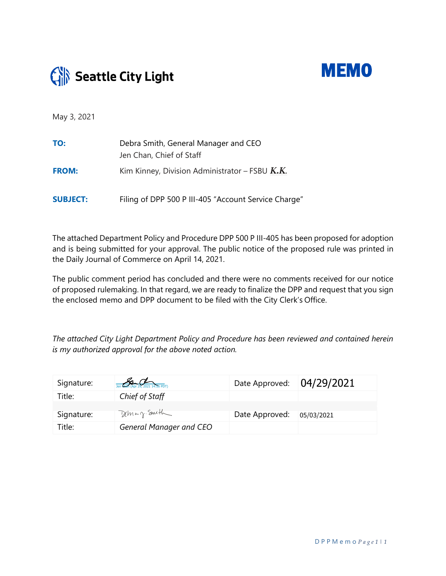



May 3, 2021

| TO:             | Debra Smith, General Manager and CEO<br>Jen Chan, Chief of Staff |
|-----------------|------------------------------------------------------------------|
| <b>FROM:</b>    | Kim Kinney, Division Administrator – FSBU $K.K.$                 |
| <b>SUBJECT:</b> | Filing of DPP 500 P III-405 "Account Service Charge"             |

The attached Department Policy and Procedure DPP 500 P III-405 has been proposed for adoption and is being submitted for your approval. The public notice of the proposed rule was printed in the Daily Journal of Commerce on April 14, 2021.

The public comment period has concluded and there were no comments received for our notice of proposed rulemaking. In that regard, we are ready to finalize the DPP and request that you sign the enclosed memo and DPP document to be filed with the City Clerk's Office.

*The attached City Light Department Policy and Procedure has been reviewed and contained herein is my authorized approval for the above noted action.*

| Signature: | Jen Chan (Apr 29, 2021 14:56 PDT) | Date Approved: | 04/29/2021 |
|------------|-----------------------------------|----------------|------------|
| Title:     | Chief of Staff                    |                |            |
| Signature: | Deman Smith                       | Date Approved: | 05/03/2021 |
| Title:     | General Manager and CEO           |                |            |